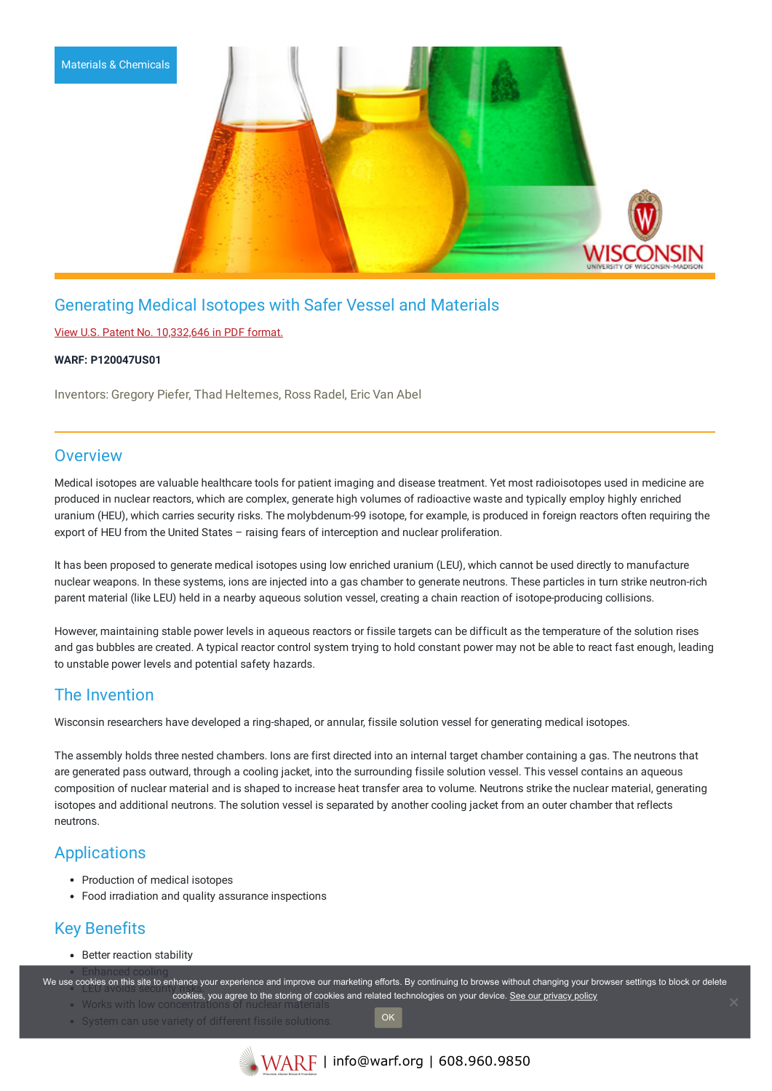

# Generating Medical Isotopes with Safer Vessel and Materials

View U.S. Patent No. [10,332,646](https://www.warf.org/wp-content/uploads/technologies/ipstatus/P120047US01.pdf) in PDF format.

#### **WARF: P120047US01**

Inventors: Gregory Piefer, Thad Heltemes, Ross Radel, Eric Van Abel

### **Overview**

Medical isotopes are valuable healthcare tools for patient imaging and disease treatment. Yet most radioisotopes used in medicine are produced in nuclear reactors, which are complex, generate high volumes of radioactive waste and typically employ highly enriched uranium (HEU), which carries security risks. The molybdenum-99 isotope, for example, is produced in foreign reactors often requiring the export of HEU from the United States – raising fears of interception and nuclear proliferation.

It has been proposed to generate medical isotopes using low enriched uranium (LEU), which cannot be used directly to manufacture nuclear weapons. In these systems, ions are injected into a gas chamber to generate neutrons. These particles in turn strike neutron-rich parent material (like LEU) held in a nearby aqueous solution vessel, creating a chain reaction of isotope-producing collisions.

However, maintaining stable power levels in aqueous reactors or fissile targets can be difficult as the temperature of the solution rises and gas bubbles are created. A typical reactor control system trying to hold constant power may not be able to react fast enough, leading to unstable power levels and potential safety hazards.

## The Invention

Wisconsin researchers have developed a ring-shaped, or annular, fissile solution vessel for generating medical isotopes.

The assembly holds three nested chambers. Ions are first directed into an internal target chamber containing a gas. The neutrons that are generated pass outward, through a cooling jacket, into the surrounding fissile solution vessel. This vessel contains an aqueous composition of nuclear material and is shaped to increase heat transfer area to volume. Neutrons strike the nuclear material, generating isotopes and additional neutrons. The solution vessel is separated by another cooling jacket from an outer chamber that reflects neutrons.

## Applications

- Production of medical isotopes
- Food irradiation and quality assurance inspections

# Key Benefits

• Better reaction stability

We use cookies on this site to enhance your experience and improve our marketing efforts. By continuing to browse without changing your browser settings to block or delete  $Works$  with low concentrations of  $n$ cookies, you agree to the storing of cookies and related technologies on your device. [See our privacy policy](https://www.warf.org/privacy-policy/)

- System can use variety of different fissile solutions
- OK